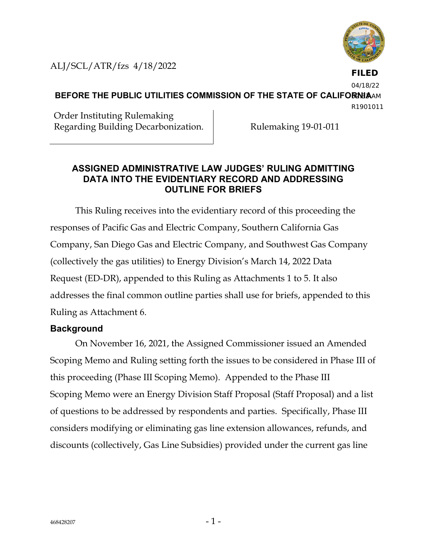

ALJ/SCL/ATR/fzs 4/18/2022

**FILED** 04/18/22

**BEFORE THE PUBLIC UTILITIES COMMISSION OF THE STATE OF CALIFORNIAAM** R1901011

Order Instituting Rulemaking Regarding Building Decarbonization. Rulemaking 19-01-011

#### **ASSIGNED ADMINISTRATIVE LAW JUDGES' RULING ADMITTING DATA INTO THE EVIDENTIARY RECORD AND ADDRESSING OUTLINE FOR BRIEFS**

This Ruling receives into the evidentiary record of this proceeding the responses of Pacific Gas and Electric Company, Southern California Gas Company, San Diego Gas and Electric Company, and Southwest Gas Company (collectively the gas utilities) to Energy Division's March 14, 2022 Data Request (ED-DR), appended to this Ruling as Attachments 1 to 5. It also addresses the final common outline parties shall use for briefs, appended to this Ruling as Attachment 6.

### **Background**

On November 16, 2021, the Assigned Commissioner issued an Amended Scoping Memo and Ruling setting forth the issues to be considered in Phase III of this proceeding (Phase III Scoping Memo). Appended to the Phase III Scoping Memo were an Energy Division Staff Proposal (Staff Proposal) and a list of questions to be addressed by respondents and parties. Specifically, Phase III considers modifying or eliminating gas line extension allowances, refunds, and discounts (collectively, Gas Line Subsidies) provided under the current gas line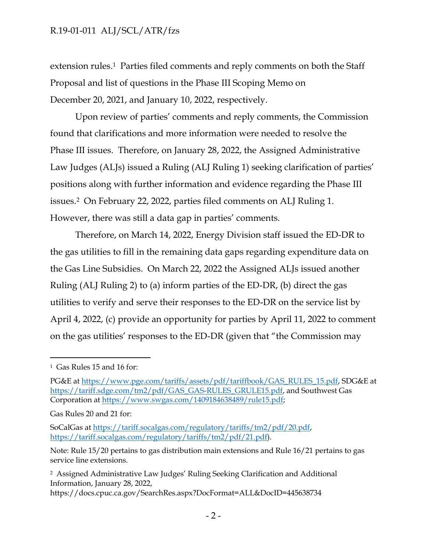extension rules. <sup>1</sup> Parties filed comments and reply comments on both the Staff Proposal and list of questions in the Phase III Scoping Memo on December 20, 2021, and January 10, 2022, respectively.

Upon review of parties' comments and reply comments, the Commission found that clarifications and more information were needed to resolve the Phase III issues. Therefore, on January 28, 2022, the Assigned Administrative Law Judges (ALJs) issued a Ruling (ALJ Ruling 1) seeking clarification of parties' positions along with further information and evidence regarding the Phase III issues. <sup>2</sup> On February 22, 2022, parties filed comments on ALJ Ruling 1. However, there was still a data gap in parties' comments.

Therefore, on March 14, 2022, Energy Division staff issued the ED-DR to the gas utilities to fill in the remaining data gaps regarding expenditure data on the Gas Line Subsidies. On March 22, 2022 the Assigned ALJs issued another Ruling (ALJ Ruling 2) to (a) inform parties of the ED-DR, (b) direct the gas utilities to verify and serve their responses to the ED-DR on the service list by April 4, 2022, (c) provide an opportunity for parties by April 11, 2022 to comment on the gas utilities' responses to the ED-DR (given that "the Commission may

Gas Rules 20 and 21 for:

SoCalGas at [https://tariff.socalgas.com/regulatory/tariffs/tm2/pdf/20.pdf,](https://tariff.socalgas.com/regulatory/tariffs/tm2/pdf/20.pdf) [https://tariff.socalgas.com/regulatory/tariffs/tm2/pdf/21.pdf\)](https://tariff.socalgas.com/regulatory/tariffs/tm2/pdf/21.pdf).

<sup>1</sup> Gas Rules 15 and 16 for:

PG&E at [https://www.pge.com/tariffs/assets/pdf/tariffbook/GAS\\_RULES\\_15.pdf,](https://www.pge.com/tariffs/assets/pdf/tariffbook/GAS_RULES_15.pdf) SDG&E at [https://tariff.sdge.com/tm2/pdf/GAS\\_GAS-RULES\\_GRULE15.pdf,](https://tariff.sdge.com/tm2/pdf/GAS_GAS-RULES_GRULE15.pdf) and Southwest Gas Corporation at [https://www.swgas.com/1409184638489/rule15.pdf;](https://www.swgas.com/1409184638489/rule15.pdf)

Note: Rule 15/20 pertains to gas distribution main extensions and Rule 16/21 pertains to gas service line extensions.

<sup>2</sup> Assigned Administrative Law Judges' Ruling Seeking Clarification and Additional Information, January 28, 2022,

https://docs.cpuc.ca.gov/SearchRes.aspx?DocFormat=ALL&DocID=445638734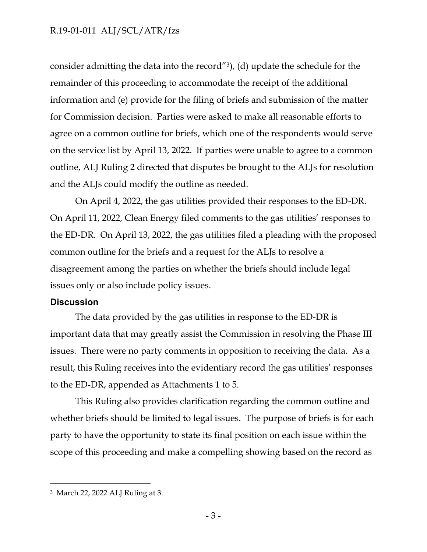consider admitting the data into the record"3), (d) update the schedule for the remainder of this proceeding to accommodate the receipt of the additional information and (e) provide for the filing of briefs and submission of the matter for Commission decision. Parties were asked to make all reasonable efforts to agree on a common outline for briefs, which one of the respondents would serve on the service list by April 13, 2022. If parties were unable to agree to a common outline, ALJ Ruling 2 directed that disputes be brought to the ALJs for resolution and the ALJs could modify the outline as needed.

On April 4, 2022, the gas utilities provided their responses to the ED-DR. On April 11, 2022, Clean Energy filed comments to the gas utilities' responses to the ED-DR. On April 13, 2022, the gas utilities filed a pleading with the proposed common outline for the briefs and a request for the ALJs to resolve a disagreement among the parties on whether the briefs should include legal issues only or also include policy issues.

#### **Discussion**

The data provided by the gas utilities in response to the ED-DR is important data that may greatly assist the Commission in resolving the Phase III issues. There were no party comments in opposition to receiving the data. As a result, this Ruling receives into the evidentiary record the gas utilities' responses to the ED-DR, appended as Attachments 1 to 5.

This Ruling also provides clarification regarding the common outline and whether briefs should be limited to legal issues. The purpose of briefs is for each party to have the opportunity to state its final position on each issue within the scope of this proceeding and make a compelling showing based on the record as

<sup>3</sup> March 22, 2022 ALJ Ruling at 3.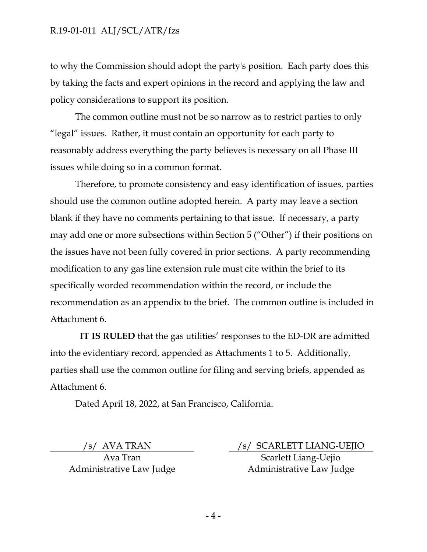to why the Commission should adopt the party's position. Each party does this by taking the facts and expert opinions in the record and applying the law and policy considerations to support its position.

The common outline must not be so narrow as to restrict parties to only "legal" issues. Rather, it must contain an opportunity for each party to reasonably address everything the party believes is necessary on all Phase III issues while doing so in a common format.

Therefore, to promote consistency and easy identification of issues, parties should use the common outline adopted herein. A party may leave a section blank if they have no comments pertaining to that issue. If necessary, a party may add one or more subsections within Section 5 ("Other") if their positions on the issues have not been fully covered in prior sections. A party recommending modification to any gas line extension rule must cite within the brief to its specifically worded recommendation within the record, or include the recommendation as an appendix to the brief. The common outline is included in Attachment 6.

**IT IS RULED** that the gas utilities' responses to the ED-DR are admitted into the evidentiary record, appended as Attachments 1 to 5. Additionally, parties shall use the common outline for filing and serving briefs, appended as Attachment 6.

Dated April 18, 2022, at San Francisco, California.

Ava Tran Administrative Law Judge

 /s/ AVA TRAN /s/ SCARLETT LIANG-UEJIO Scarlett Liang-Uejio Administrative Law Judge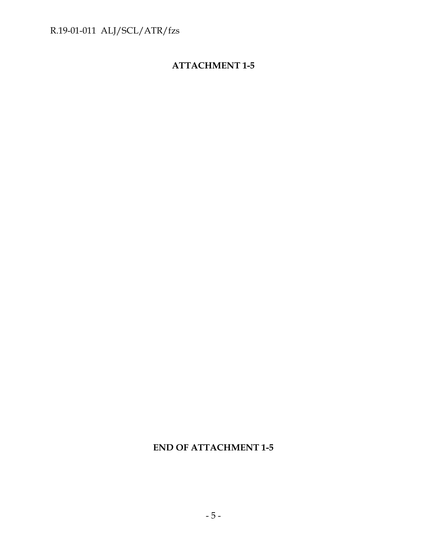## **ATTACHMENT 1-5**

## **END OF ATTACHMENT 1-5**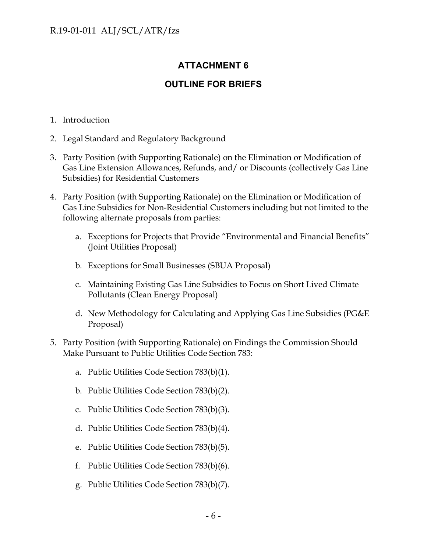## **ATTACHMENT 6**

### **OUTLINE FOR BRIEFS**

- 1. Introduction
- 2. Legal Standard and Regulatory Background
- 3. Party Position (with Supporting Rationale) on the Elimination or Modification of Gas Line Extension Allowances, Refunds, and/ or Discounts (collectively Gas Line Subsidies) for Residential Customers
- 4. Party Position (with Supporting Rationale) on the Elimination or Modification of Gas Line Subsidies for Non-Residential Customers including but not limited to the following alternate proposals from parties:
	- a. Exceptions for Projects that Provide "Environmental and Financial Benefits" (Joint Utilities Proposal)
	- b. Exceptions for Small Businesses (SBUA Proposal)
	- c. Maintaining Existing Gas Line Subsidies to Focus on Short Lived Climate Pollutants (Clean Energy Proposal)
	- d. New Methodology for Calculating and Applying Gas Line Subsidies (PG&E Proposal)
- 5. Party Position (with Supporting Rationale) on Findings the Commission Should Make Pursuant to Public Utilities Code Section 783:
	- a. Public Utilities Code Section 783(b)(1).
	- b. Public Utilities Code Section 783(b)(2).
	- c. Public Utilities Code Section 783(b)(3).
	- d. Public Utilities Code Section 783(b)(4).
	- e. Public Utilities Code Section 783(b)(5).
	- f. Public Utilities Code Section 783(b)(6).
	- g. Public Utilities Code Section 783(b)(7).